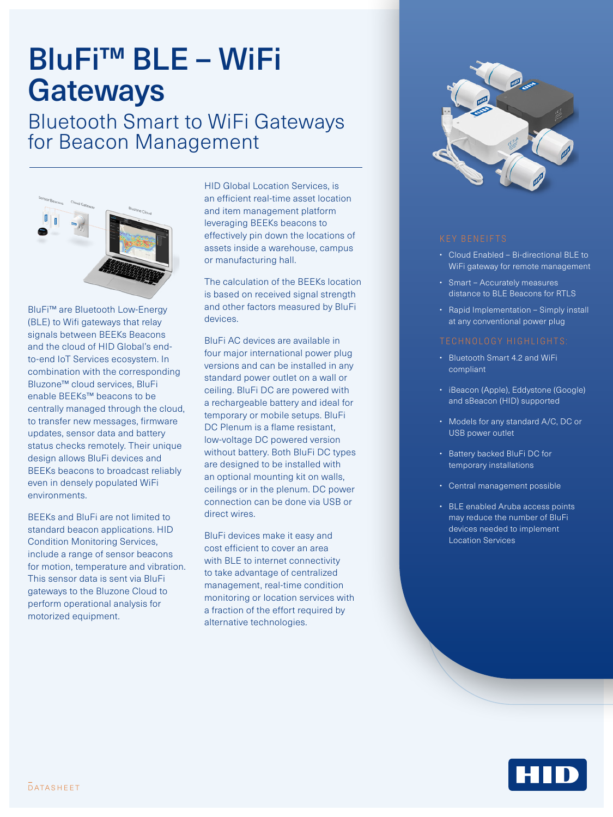# BluFi™ BLE – WiFi **Gateways**

Bluetooth Smart to WiFi Gateways for Beacon Management



BluFi™ are Bluetooth Low-Energy (BLE) to Wifi gateways that relay signals between BEEKs Beacons and the cloud of HID Global's endto-end IoT Services ecosystem. In combination with the corresponding Bluzone™ cloud services, BluFi enable BEEKs™ beacons to be centrally managed through the cloud, to transfer new messages, firmware updates, sensor data and battery status checks remotely. Their unique design allows BluFi devices and BEEKs beacons to broadcast reliably even in densely populated WiFi environments.

BEEKs and BluFi are not limited to standard beacon applications. HID Condition Monitoring Services, include a range of sensor beacons for motion, temperature and vibration. This sensor data is sent via BluFi gateways to the Bluzone Cloud to perform operational analysis for motorized equipment.

HID Global Location Services, is an efficient real-time asset location and item management platform leveraging BEEKs beacons to effectively pin down the locations of assets inside a warehouse, campus or manufacturing hall.

The calculation of the BEEKs location is based on received signal strength and other factors measured by BluFi devices.

BluFi AC devices are available in four major international power plug versions and can be installed in any standard power outlet on a wall or ceiling. BluFi DC are powered with a rechargeable battery and ideal for temporary or mobile setups. BluFi DC Plenum is a flame resistant, low-voltage DC powered version without battery. Both BluFi DC types are designed to be installed with an optional mounting kit on walls, ceilings or in the plenum. DC power connection can be done via USB or direct wires.

BluFi devices make it easy and cost efficient to cover an area with BLE to internet connectivity to take advantage of centralized management, real-time condition monitoring or location services with a fraction of the effort required by alternative technologies.



- Cloud Enabled Bi-directional BLE to WiFi gateway for remote management
- Smart Accurately measures distance to BLE Beacons for RTLS
- Rapid Implementation Simply install at any conventional power plug

- Bluetooth Smart 4.2 and WiFi compliant
- iBeacon (Apple), Eddystone (Google) and sBeacon (HID) supported
- Models for any standard A/C, DC or USB power outlet
- Battery backed BluFi DC for temporary installations
- Central management possible
- BLE enabled Aruba access points may reduce the number of BluFi devices needed to implement Location Services